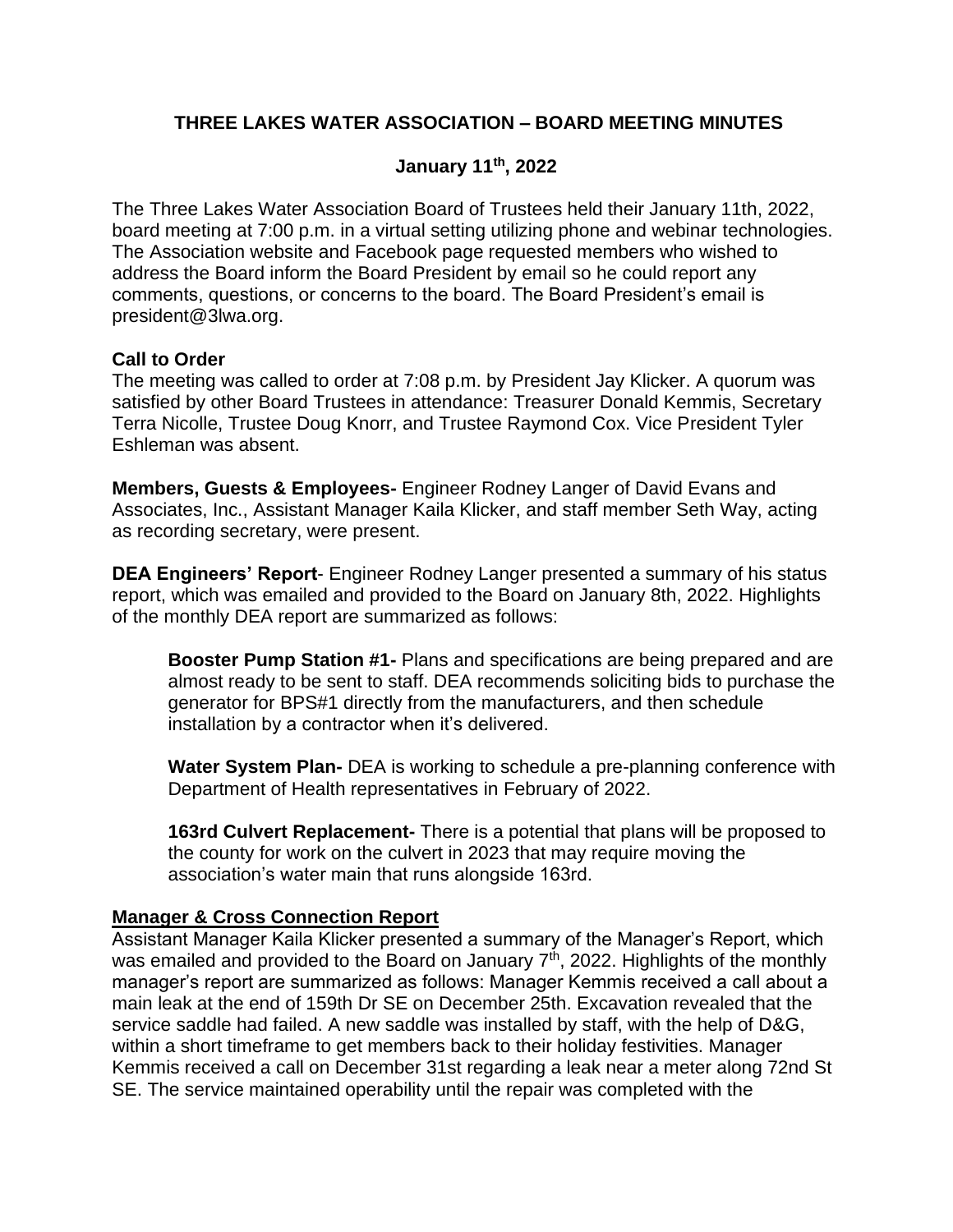# **THREE LAKES WATER ASSOCIATION – BOARD MEETING MINUTES**

### **January 11th, 2022**

The Three Lakes Water Association Board of Trustees held their January 11th, 2022, board meeting at 7:00 p.m. in a virtual setting utilizing phone and webinar technologies. The Association website and Facebook page requested members who wished to address the Board inform the Board President by email so he could report any comments, questions, or concerns to the board. The Board President's email is president@3lwa.org.

#### **Call to Order**

The meeting was called to order at 7:08 p.m. by President Jay Klicker. A quorum was satisfied by other Board Trustees in attendance: Treasurer Donald Kemmis, Secretary Terra Nicolle, Trustee Doug Knorr, and Trustee Raymond Cox. Vice President Tyler Eshleman was absent.

**Members, Guests & Employees-** Engineer Rodney Langer of David Evans and Associates, Inc., Assistant Manager Kaila Klicker, and staff member Seth Way, acting as recording secretary, were present.

**DEA Engineers' Report**- Engineer Rodney Langer presented a summary of his status report, which was emailed and provided to the Board on January 8th, 2022. Highlights of the monthly DEA report are summarized as follows:

**Booster Pump Station #1-** Plans and specifications are being prepared and are almost ready to be sent to staff. DEA recommends soliciting bids to purchase the generator for BPS#1 directly from the manufacturers, and then schedule installation by a contractor when it's delivered.

**Water System Plan-** DEA is working to schedule a pre-planning conference with Department of Health representatives in February of 2022.

**163rd Culvert Replacement-** There is a potential that plans will be proposed to the county for work on the culvert in 2023 that may require moving the association's water main that runs alongside 163rd.

#### **Manager & Cross Connection Report**

Assistant Manager Kaila Klicker presented a summary of the Manager's Report, which was emailed and provided to the Board on January  $7<sup>th</sup>$ , 2022. Highlights of the monthly manager's report are summarized as follows: Manager Kemmis received a call about a main leak at the end of 159th Dr SE on December 25th. Excavation revealed that the service saddle had failed. A new saddle was installed by staff, with the help of D&G, within a short timeframe to get members back to their holiday festivities. Manager Kemmis received a call on December 31st regarding a leak near a meter along 72nd St SE. The service maintained operability until the repair was completed with the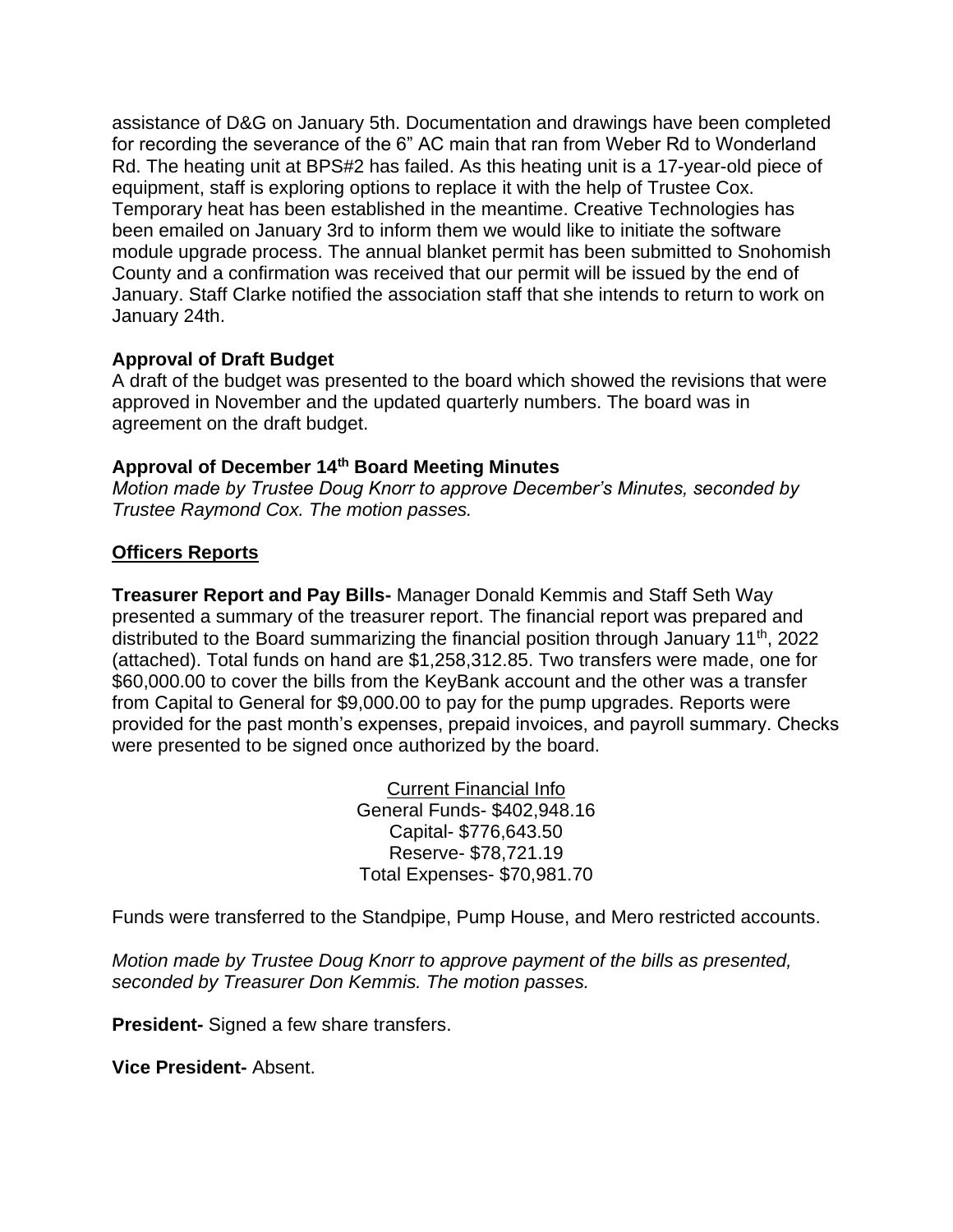assistance of D&G on January 5th. Documentation and drawings have been completed for recording the severance of the 6" AC main that ran from Weber Rd to Wonderland Rd. The heating unit at BPS#2 has failed. As this heating unit is a 17-year-old piece of equipment, staff is exploring options to replace it with the help of Trustee Cox. Temporary heat has been established in the meantime. Creative Technologies has been emailed on January 3rd to inform them we would like to initiate the software module upgrade process. The annual blanket permit has been submitted to Snohomish County and a confirmation was received that our permit will be issued by the end of January. Staff Clarke notified the association staff that she intends to return to work on January 24th.

#### **Approval of Draft Budget**

A draft of the budget was presented to the board which showed the revisions that were approved in November and the updated quarterly numbers. The board was in agreement on the draft budget.

#### **Approval of December 14th Board Meeting Minutes**

*Motion made by Trustee Doug Knorr to approve December's Minutes, seconded by Trustee Raymond Cox. The motion passes.*

### **Officers Reports**

**Treasurer Report and Pay Bills-** Manager Donald Kemmis and Staff Seth Way presented a summary of the treasurer report. The financial report was prepared and distributed to the Board summarizing the financial position through January 11<sup>th</sup>, 2022 (attached). Total funds on hand are \$1,258,312.85. Two transfers were made, one for \$60,000.00 to cover the bills from the KeyBank account and the other was a transfer from Capital to General for \$9,000.00 to pay for the pump upgrades. Reports were provided for the past month's expenses, prepaid invoices, and payroll summary. Checks were presented to be signed once authorized by the board.

> Current Financial Info General Funds- \$402,948.16 Capital- \$776,643.50 Reserve- \$78,721.19 Total Expenses- \$70,981.70

Funds were transferred to the Standpipe, Pump House, and Mero restricted accounts.

*Motion made by Trustee Doug Knorr to approve payment of the bills as presented, seconded by Treasurer Don Kemmis. The motion passes.*

**President-** Signed a few share transfers.

**Vice President-** Absent.